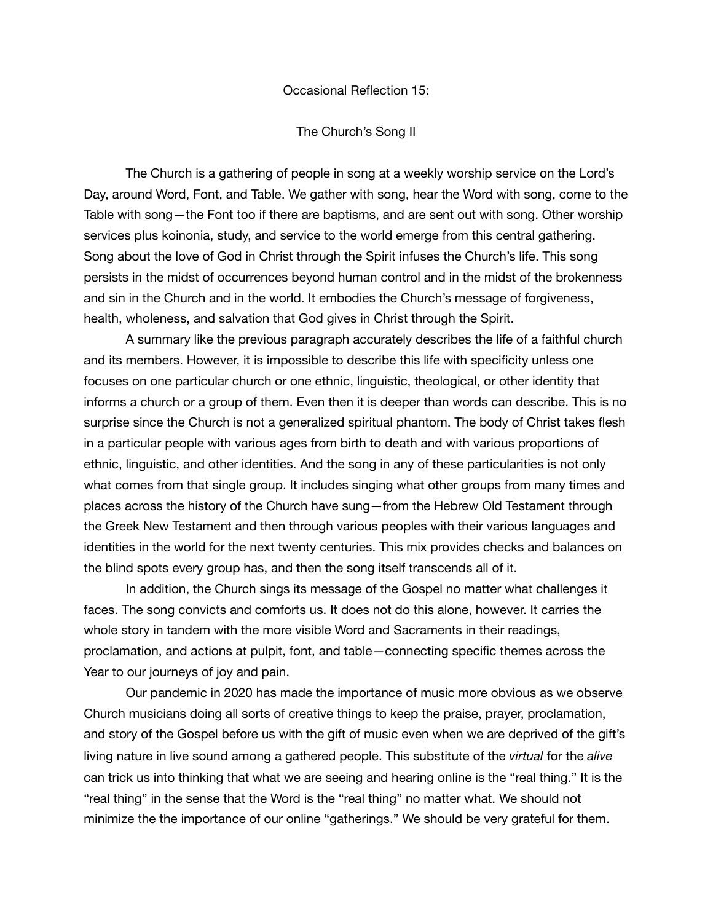## Occasional Reflection 15:

## The Church's Song II

The Church is a gathering of people in song at a weekly worship service on the Lord's Day, around Word, Font, and Table. We gather with song, hear the Word with song, come to the Table with song—the Font too if there are baptisms, and are sent out with song. Other worship services plus koinonia, study, and service to the world emerge from this central gathering. Song about the love of God in Christ through the Spirit infuses the Church's life. This song persists in the midst of occurrences beyond human control and in the midst of the brokenness and sin in the Church and in the world. It embodies the Church's message of forgiveness, health, wholeness, and salvation that God gives in Christ through the Spirit.

A summary like the previous paragraph accurately describes the life of a faithful church and its members. However, it is impossible to describe this life with specificity unless one focuses on one particular church or one ethnic, linguistic, theological, or other identity that informs a church or a group of them. Even then it is deeper than words can describe. This is no surprise since the Church is not a generalized spiritual phantom. The body of Christ takes flesh in a particular people with various ages from birth to death and with various proportions of ethnic, linguistic, and other identities. And the song in any of these particularities is not only what comes from that single group. It includes singing what other groups from many times and places across the history of the Church have sung—from the Hebrew Old Testament through the Greek New Testament and then through various peoples with their various languages and identities in the world for the next twenty centuries. This mix provides checks and balances on the blind spots every group has, and then the song itself transcends all of it.

In addition, the Church sings its message of the Gospel no matter what challenges it faces. The song convicts and comforts us. It does not do this alone, however. It carries the whole story in tandem with the more visible Word and Sacraments in their readings, proclamation, and actions at pulpit, font, and table—connecting specific themes across the Year to our journeys of joy and pain.

Our pandemic in 2020 has made the importance of music more obvious as we observe Church musicians doing all sorts of creative things to keep the praise, prayer, proclamation, and story of the Gospel before us with the gift of music even when we are deprived of the gift's living nature in live sound among a gathered people. This substitute of the *virtual* for the *alive* can trick us into thinking that what we are seeing and hearing online is the "real thing." It is the "real thing" in the sense that the Word is the "real thing" no matter what. We should not minimize the the importance of our online "gatherings." We should be very grateful for them.